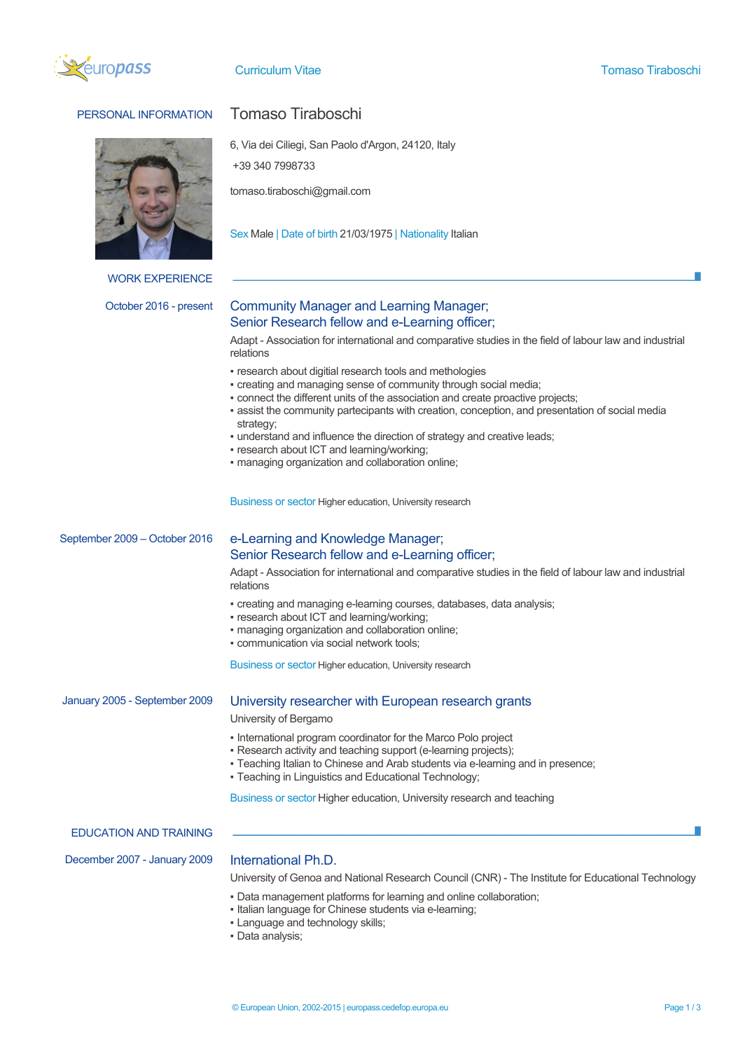

# PERSONAL INFORMATION Tomaso Tiraboschi



WORK EXPERIENCE

6, Via dei Ciliegi, San Paolo d'Argon, 24120, Italy

+39 340 7998733

tomaso.tiraboschi@gmail.com

Sex Male | Date of birth 21/03/1975 | Nationality Italian

# October 2016 - present Community Manager and Learning Manager; Senior Research fellow and e-Learning officer;

Adapt - Association for international and comparative studies in the field of labour law and industrial relations

- research about digitial research tools and methologies
- creating and managing sense of community through social media;
- connect the different units of the association and create proactive projects;
- assist the community partecipants with creation, conception, and presentation of social media strategy;
- . understand and influence the direction of strategy and creative leads;
- **research about ICT and learning/working;**
- managing organization and collaboration online;

Business or sector Higher education, University research

## September 2009 – October 2016 e-Learning and Knowledge Manager;

# Senior Research fellow and e-Learning officer;

Adapt - Association for international and comparative studies in the field of labour law and industrial relations

- creating and managing e-learning courses, databases, data analysis;
- research about ICT and learning/working:
- managing organization and collaboration online;
- communication via social network tools;

Business or sector Higher education, University research

## January 2005 - September 2009 University researcher with European research grants

University of Bergamo

- International program coordinator for the Marco Polo project
- Research activity and teaching support (e-learning projects);
- Teaching Italian to Chinese and Arab students via e-learning and in presence;
- Teaching in Linguistics and Educational Technology;

Business or sector Higher education, University research and teaching

### EDUCATION AND TRAINING

December 2007 - January 2009 International Ph.D.

University of Genoa and National Research Council (CNR) - The Institute for Educational Technology

- Data management platforms for learning and online collaboration;
- Italian language for Chinese students via e-learning;
- Language and technology skills;
- Data analysis;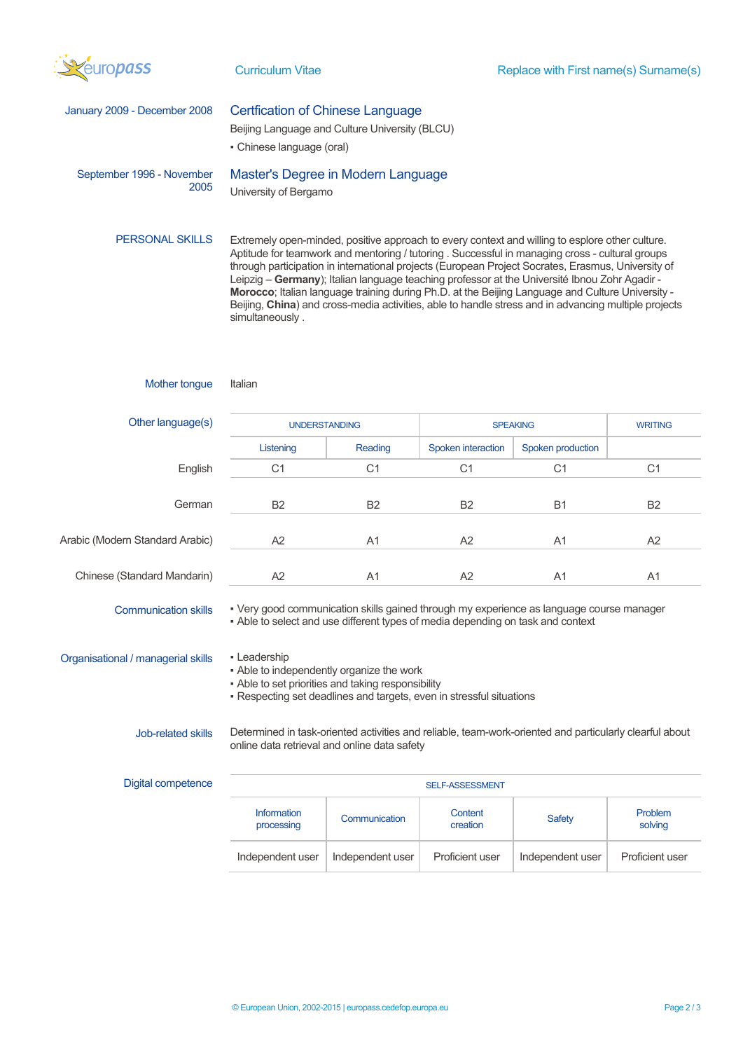

| January 2009 - December 2008       | <b>Certfication of Chinese Language</b><br>Beijing Language and Culture University (BLCU)<br>• Chinese language (oral)                                                                                                                                                                                                                                                                                                                                                                                                                                                                                                                   |                  |                     |                   |                    |
|------------------------------------|------------------------------------------------------------------------------------------------------------------------------------------------------------------------------------------------------------------------------------------------------------------------------------------------------------------------------------------------------------------------------------------------------------------------------------------------------------------------------------------------------------------------------------------------------------------------------------------------------------------------------------------|------------------|---------------------|-------------------|--------------------|
| September 1996 - November<br>2005  | Master's Degree in Modern Language<br>University of Bergamo                                                                                                                                                                                                                                                                                                                                                                                                                                                                                                                                                                              |                  |                     |                   |                    |
| <b>PERSONAL SKILLS</b>             | Extremely open-minded, positive approach to every context and willing to esplore other culture.<br>Aptitude for teamwork and mentoring / tutoring . Successful in managing cross - cultural groups<br>through participation in international projects (European Project Socrates, Erasmus, University of<br>Leipzig - Germany); Italian language teaching professor at the Université Ibnou Zohr Agadir -<br>Morocco; Italian language training during Ph.D. at the Beijing Language and Culture University -<br>Beijing, China) and cross-media activities, able to handle stress and in advancing multiple projects<br>simultaneously. |                  |                     |                   |                    |
| Mother tongue                      | Italian                                                                                                                                                                                                                                                                                                                                                                                                                                                                                                                                                                                                                                  |                  |                     |                   |                    |
| Other language(s)                  | <b>UNDERSTANDING</b>                                                                                                                                                                                                                                                                                                                                                                                                                                                                                                                                                                                                                     |                  | <b>SPEAKING</b>     |                   | <b>WRITING</b>     |
|                                    | Listening                                                                                                                                                                                                                                                                                                                                                                                                                                                                                                                                                                                                                                | Reading          | Spoken interaction  | Spoken production |                    |
| English                            | C <sub>1</sub>                                                                                                                                                                                                                                                                                                                                                                                                                                                                                                                                                                                                                           | C <sub>1</sub>   | C <sub>1</sub>      | C <sub>1</sub>    | C <sub>1</sub>     |
| German                             | B <sub>2</sub>                                                                                                                                                                                                                                                                                                                                                                                                                                                                                                                                                                                                                           | B <sub>2</sub>   | B <sub>2</sub>      | <b>B1</b>         | B <sub>2</sub>     |
| Arabic (Modern Standard Arabic)    | A2                                                                                                                                                                                                                                                                                                                                                                                                                                                                                                                                                                                                                                       | A1               | A2                  | A <sub>1</sub>    | A2                 |
| Chinese (Standard Mandarin)        | A <sub>2</sub>                                                                                                                                                                                                                                                                                                                                                                                                                                                                                                                                                                                                                           | A <sub>1</sub>   | A <sub>2</sub>      | A <sub>1</sub>    | A <sub>1</sub>     |
| <b>Communication skills</b>        | - Very good communication skills gained through my experience as language course manager<br>- Able to select and use different types of media depending on task and context                                                                                                                                                                                                                                                                                                                                                                                                                                                              |                  |                     |                   |                    |
| Organisational / managerial skills | • Leadership<br>- Able to independently organize the work<br>- Able to set priorities and taking responsibility<br>- Respecting set deadlines and targets, even in stressful situations                                                                                                                                                                                                                                                                                                                                                                                                                                                  |                  |                     |                   |                    |
| Job-related skills                 | Determined in task-oriented activities and reliable, team-work-oriented and particularly clearful about<br>online data retrieval and online data safety                                                                                                                                                                                                                                                                                                                                                                                                                                                                                  |                  |                     |                   |                    |
| Digital competence                 | SELF-ASSESSMENT                                                                                                                                                                                                                                                                                                                                                                                                                                                                                                                                                                                                                          |                  |                     |                   |                    |
|                                    | Information<br>processing                                                                                                                                                                                                                                                                                                                                                                                                                                                                                                                                                                                                                | Communication    | Content<br>creation | Safety            | Problem<br>solving |
|                                    | Independent user                                                                                                                                                                                                                                                                                                                                                                                                                                                                                                                                                                                                                         | Independent user | Proficient user     | Independent user  | Proficient user    |